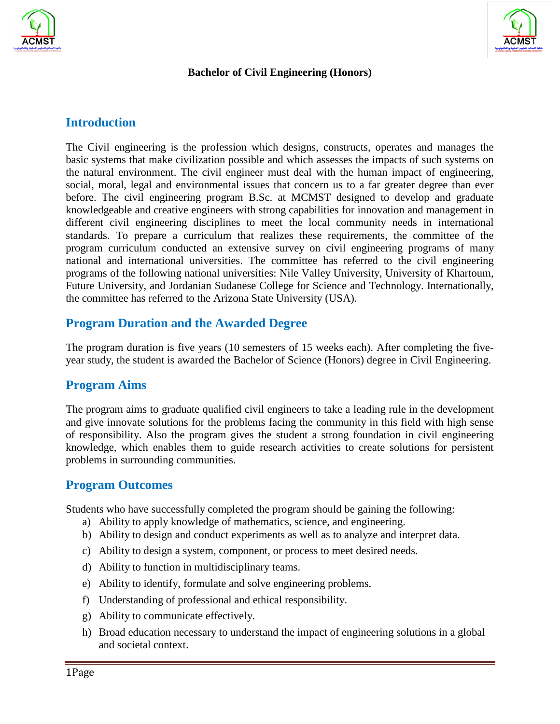



#### **Bachelor of Civil Engineering (Honors)**

#### **Introduction**

The Civil engineering is the profession which designs, constructs, operates and manages the basic systems that make civilization possible and which assesses the impacts of such systems on the natural environment. The civil engineer must deal with the human impact of engineering, social, moral, legal and environmental issues that concern us to a far greater degree than ever before. The civil engineering program B.Sc. at MCMST designed to develop and graduate knowledgeable and creative engineers with strong capabilities for innovation and management in different civil engineering disciplines to meet the local community needs in international standards. To prepare a curriculum that realizes these requirements, the committee of the program curriculum conducted an extensive survey on civil engineering programs of many national and international universities. The committee has referred to the civil engineering programs of the following national universities: Nile Valley University, University of Khartoum, Future University, and Jordanian Sudanese College for Science and Technology. Internationally, the committee has referred to the Arizona State University (USA).

#### **Program Duration and the Awarded Degree**

The program duration is five years (10 semesters of 15 weeks each). After completing the fiveyear study, the student is awarded the Bachelor of Science (Honors) degree in Civil Engineering.

#### **Program Aims**

The program aims to graduate qualified civil engineers to take a leading rule in the development and give innovate solutions for the problems facing the community in this field with high sense of responsibility. Also the program gives the student a strong foundation in civil engineering knowledge, which enables them to guide research activities to create solutions for persistent problems in surrounding communities.

#### **Program Outcomes**

Students who have successfully completed the program should be gaining the following:

- a) Ability to apply knowledge of mathematics, science, and engineering.
- b) Ability to design and conduct experiments as well as to analyze and interpret data.
- c) Ability to design a system, component, or process to meet desired needs.
- d) Ability to function in multidisciplinary teams.
- e) Ability to identify, formulate and solve engineering problems.
- f) Understanding of professional and ethical responsibility.
- g) Ability to communicate effectively.
- h) Broad education necessary to understand the impact of engineering solutions in a global and societal context.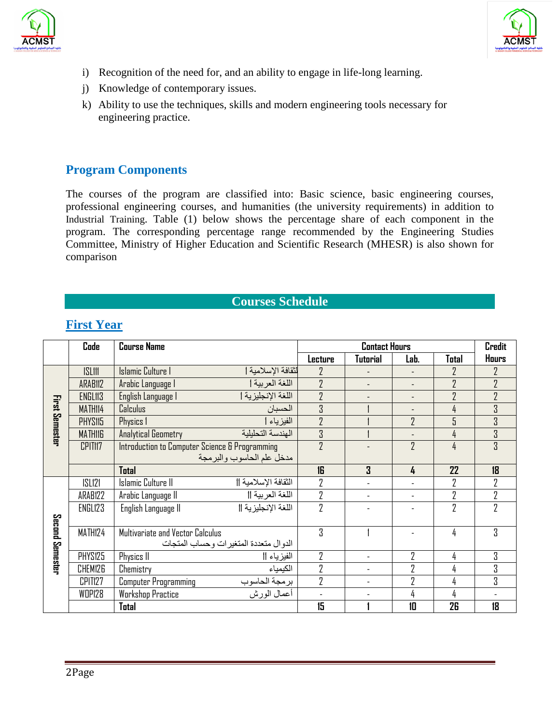



- i) Recognition of the need for, and an ability to engage in life-long learning.
- j) Knowledge of contemporary issues.
- k) Ability to use the techniques, skills and modern engineering tools necessary for engineering practice.

#### **Program Components**

The courses of the program are classified into: Basic science, basic engineering courses, professional engineering courses, and humanities (the university requirements) in addition to Industrial Training. Table (1) below shows the percentage share of each component in the program. The corresponding percentage range recommended by the Engineering Studies Committee, Ministry of Higher Education and Scientific Research (MHESR) is also shown for comparison

#### **Courses Schedule**

|                       | Code                | <b>Course Name</b>                              | <b>Contact Hours</b> |                          |                |                | <b>Credit</b>  |
|-----------------------|---------------------|-------------------------------------------------|----------------------|--------------------------|----------------|----------------|----------------|
|                       |                     |                                                 | Lecture              | Tutorial                 | Lab.           | Total          | <b>Hours</b>   |
|                       | <b>ISLIII</b>       | <b>Islamic Culture I</b><br>لثقافة الإسلامية    | $\overline{2}$       |                          |                | $\overline{2}$ | 7              |
| <b>First Semester</b> | ARAB <sub>112</sub> | اللغة العربية  <br>Arabic Language I            | $\overline{2}$       | $\overline{\phantom{0}}$ |                | $\overline{2}$ | $\overline{2}$ |
|                       | ENGL113             | اللغة الإنجليزية  <br>English Language I        | $\overline{2}$       |                          |                | $\overline{2}$ | $\overline{2}$ |
|                       | MATH114             | Calculus<br>الحسبان                             | $\overline{3}$       |                          |                | 4              | $\overline{3}$ |
|                       | PHYS115             | الفيز ياء<br>Physics 1                          | $\overline{2}$       |                          | $\overline{2}$ | 5              | 3              |
|                       | <b>MATHIIG</b>      | الهندسة التحلبلبة<br><b>Analytical Geometry</b> | 3                    |                          |                | 4              | 3              |
|                       | CPIT <sub>117</sub> | Introduction to Computer Science & Programming  | $\overline{2}$       |                          | $\overline{2}$ | 4              | 3              |
|                       |                     | مدخل علم الحاسوب والبرمجة                       |                      |                          |                |                |                |
|                       |                     | Total                                           | 16                   | $\overline{3}$           | 4              | 22             | 18             |
|                       | <b>ISL121</b>       | Islamic Culture II<br>الثقافة الإسلامية         | $\overline{2}$       |                          |                | $\overline{2}$ | 2              |
|                       | ARAB122             | اللغة العربية   <br>Arabic Language II          | $\overline{2}$       | $\blacksquare$           |                | $\overline{2}$ | 2              |
|                       | ENGL123             | اللغة الإنجليز ية   <br>English Language II     | $\overline{2}$       |                          |                | $\overline{2}$ | 2              |
|                       |                     |                                                 |                      |                          |                |                |                |
| Second Semester       | MATH124             | Multivariate and Vector Calculus                | 3                    |                          |                | 4              | 3              |
|                       |                     | الدوال منعددة المتغير ات وحساب المنجات          |                      |                          |                |                |                |
|                       | PHYS125             | الفيزياء   <br>Physics II                       | $\overline{2}$       | ÷.                       | 2              | 4              | 3              |
|                       | CHEM126             | Chemistry<br>الكيمياء                           | $\overline{2}$       | $\overline{a}$           | 2              | 4              | 3              |
|                       | CPIT <sub>127</sub> | Computer Programming<br>برمجة الحاسوب           | $\overline{2}$       | $\overline{\phantom{0}}$ | $\overline{2}$ | 4              | 3              |
|                       | WDP128              | أعمال الور ش<br><b>Workshop Practice</b>        | $\blacksquare$       | $\overline{\phantom{0}}$ | 4              | 4              |                |
|                       |                     | Total                                           | 15                   |                          | 10             | 26             | 18             |

#### **First Year**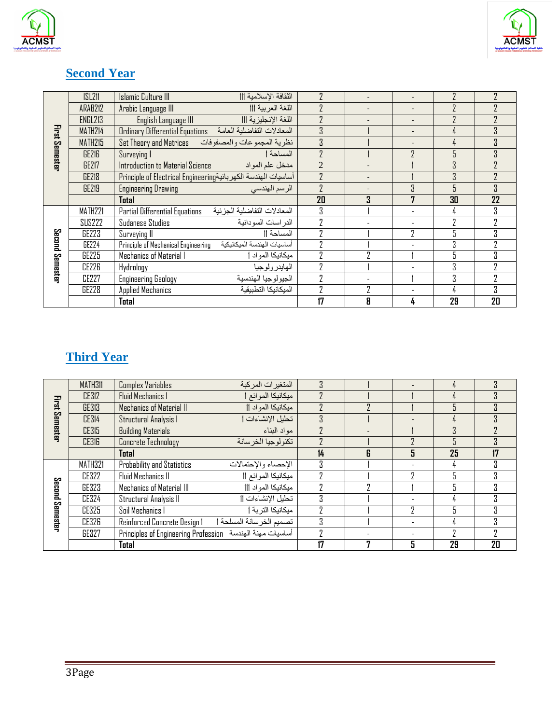



### **Second Year**

|                 | SL21           | Islamic Culture III<br>الثقافة الإسلامية                           | $\overline{2}$ |                          |   | 7  | 7              |
|-----------------|----------------|--------------------------------------------------------------------|----------------|--------------------------|---|----|----------------|
| First Semester  | ARAB212        | اللغة العربية    <br>Arabic Language III                           | $\overline{2}$ | $\overline{\phantom{a}}$ | ٠ |    |                |
|                 | <b>ENGL213</b> | اللغة الإنجليزية    <br>English Language III                       | $\overline{2}$ |                          |   | Л  | $\overline{2}$ |
|                 | MATH214        | المعادلات التفاضلية العامة<br>Ordinary Differential Equations      | $\mathbf{3}$   |                          |   |    | 3              |
|                 | MATH215        | Set Theory and Matrices<br>نظرية المجموعات والمصفوفات              | $\mathbf{3}$   |                          |   |    | 3              |
|                 | GE216          | المساحة ا<br>Surveying I                                           | $\overline{2}$ |                          | 7 | ٦  | 3              |
|                 | <b>GE217</b>   | Introduction to Material Science<br>مدخل علم المواد                | $\overline{2}$ |                          |   | 3  | 7              |
|                 | <b>GE218</b>   | Principle of Electrical Engineering أساسيات الهندسة الكهر بائية    | $\overline{2}$ |                          |   | 3  | $\overline{2}$ |
|                 | <b>GE219</b>   | <b>Engineering Drawing</b><br>الرسم الهندسي                        | $\overline{2}$ |                          | 3 | 5  | 3              |
|                 |                | <b>Total</b>                                                       | 20             | 3                        | 7 | 30 | 22             |
|                 | MATH221        | المعادلات التفاضلية الجزئية<br>Partial Differential Equations      | 3              |                          |   | 4  | 3              |
|                 | <b>SUS222</b>  | <b>Sudanese Studies</b><br>الدر اسات السو دانية                    | $\overline{2}$ |                          |   | ŋ  | $\overline{2}$ |
|                 | GE223          | المساحة   <br>Surveying II                                         | $\overline{2}$ |                          | 7 | 5  | 3              |
|                 | GE224          | أساسيات الهندسة الميكانيكية<br>Principle of Mechanical Engineering | $\overline{2}$ |                          |   | Κ  | $\overline{2}$ |
|                 | GE225          | Mechanics of Material I<br>ميكانيكا المواد                         | 7              | ŋ                        |   |    | 3              |
| Second Semester | <b>CE226</b>   | Hydrology<br>الهايدرولوجيا                                         | $\overline{2}$ |                          |   | 3  | 2              |
|                 | CE227          | <b>Engineering Geology</b><br>الجيولوجيا الهندسية                  | $\overline{2}$ |                          |   | R  | 2              |
|                 | <b>GE228</b>   | <b>Applied Mechanics</b><br>الميكانيكا التطبيقية                   | $\overline{2}$ | 7                        |   | 4  | 3              |
|                 |                | Total                                                              | 17             | R                        | 4 | 29 | 20             |

# **Third Year**

|                  | MATH311      | Complex Variables                                         | المتغيرات المركبة      | $\mathbf{R}$   |   |                          | 4  | κ              |
|------------------|--------------|-----------------------------------------------------------|------------------------|----------------|---|--------------------------|----|----------------|
| Hrst<br>Semester | <b>CE312</b> | <b>Fluid Mechanics I</b>                                  | ميكانيكا الموائع       |                |   |                          | 4  | 3              |
|                  | GE313        | Mechanics of Material II                                  | ميكانيكا المواد        | 7              |   |                          |    | 3              |
|                  | <b>CE314</b> | Structural Analysis I                                     | تحليل الإنشاءات        | $\mathbf{R}$   |   |                          | 4  | $\overline{3}$ |
|                  | <b>CE315</b> | <b>Building Materials</b>                                 | مو اد البناء           | $\overline{7}$ |   |                          | 3  |                |
|                  | <b>CE316</b> | <b>Concrete Technology</b>                                | تكنو لوجيا الخر سانة   | ŋ              |   |                          |    | $\overline{3}$ |
|                  |              | Total                                                     |                        | 14             | R | 5                        | 25 | 17             |
|                  | MATH321      | <b>Probability and Statistics</b>                         | الإحصاء والإحتمالات    | 3              |   |                          | 4  | 3              |
|                  | <b>CE322</b> | Fluid Mechanics II                                        | ميكانيكا الموائع       | 7              |   |                          |    | 3              |
| Second           | GE323        | Mechanics of Material III                                 | ميكانيكا المواد        | ŋ              |   |                          |    | 3              |
|                  | CE324        | Structural Analysis II                                    | تحليل الإنشاءات        | 3              |   |                          | 4  | S.             |
|                  | <b>CE325</b> | Soil Mechanics I                                          | ميكانيكا التر بة       | ŋ              |   | 7                        |    | S.             |
| Semester         | <b>CE326</b> | Reinforced Concrete Design 1                              | تصميم الخرسانة المسلحة | 3              |   |                          | 4  | S.             |
|                  | GE327        | Principles of Engineering Profession أساسيات مهنة المندسة |                        | ŋ              |   | $\overline{\phantom{a}}$ | ŋ  |                |
|                  |              | Total                                                     |                        | 17             | 7 | 5                        | 29 | 20             |